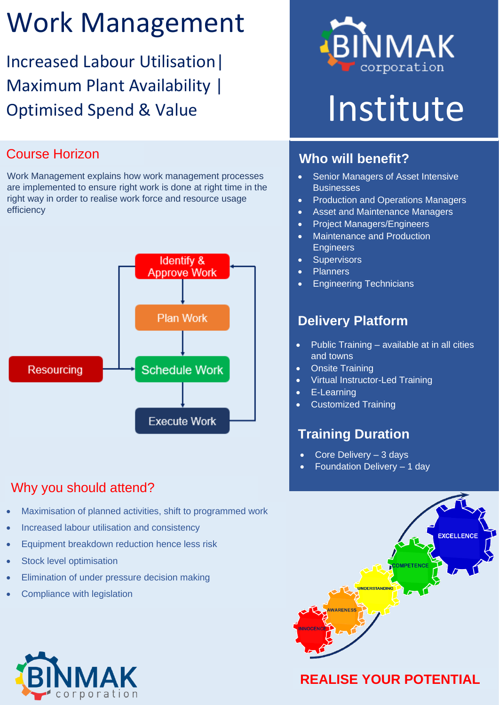# Work Management

Increased Labour Utilisation| Maximum Plant Availability | Optimised Spend & Value

#### Course Horizon

Work Management explains how work management processes are implemented to ensure right work is done at right time in the right way in order to realise work force and resource usage efficiency



#### Why you should attend?

- Maximisation of planned activities, shift to programmed work
- Increased labour utilisation and consistency
- Equipment breakdown reduction hence less risk
- Stock level optimisation
- Elimination of under pressure decision making
- Compliance with legislation



# Institute

#### **Who will benefit?**

- Senior Managers of Asset Intensive **Businesses**
- Production and Operations Managers
- Asset and Maintenance Managers
- Project Managers/Engineers
- Maintenance and Production **Engineers**
- **Supervisors**
- **Planners**
- Engineering Technicians

#### **Delivery Platform**

- Public Training available at in all cities and towns
- Onsite Training
- Virtual Instructor-Led Training
- E-Learning
- Customized Training

#### **Training Duration**

- Core Delivery 3 days
- Foundation Delivery 1 day



### **REALISE YOUR POTENTIAL**